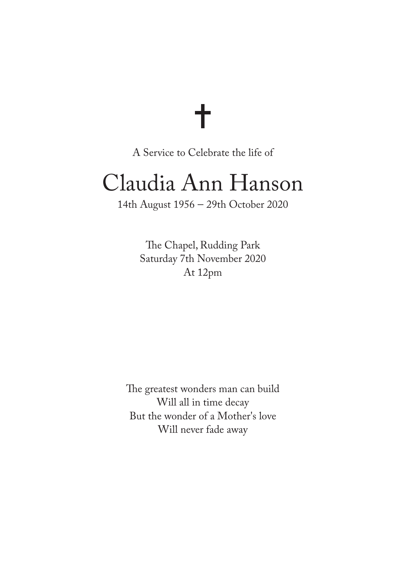# ╋

A Service to Celebrate the life of

## Claudia Ann Hanson

14th August 1956 – 29th October 2020

The Chapel, Rudding Park Saturday 7th November 2020 At 12pm

The greatest wonders man can build Will all in time decay But the wonder of a Mother's love Will never fade away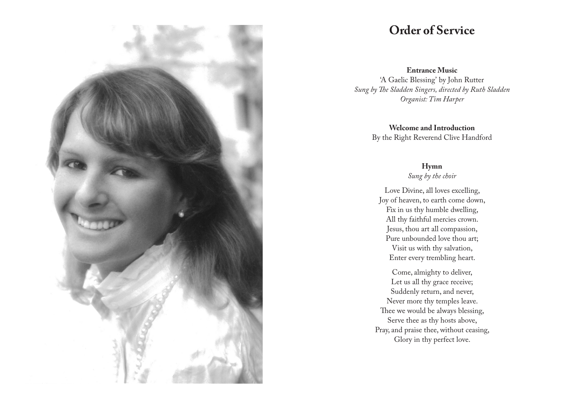

### **Order of Service**

**Entrance Music**

'A Gaelic Blessing' by John Rutter *Sung by The Sladden Singers, directed by Ruth Sladden Organist: Tim Harper*

> **Welcome and Introduction** By the Right Reverend Clive Handford

#### **Hymn**

*Sung by the choir*

Love Divine, all loves excelling, Joy of heaven, to earth come down, Fix in us thy humble dwelling, All thy faithful mercies crown. Jesus, thou art all compassion, Pure unbounded love thou art; Visit us with thy salvation, Enter every trembling heart.

Come, almighty to deliver, Let us all thy grace receive; Suddenly return, and never, Never more thy temples leave. Thee we would be always blessing, Serve thee as thy hosts above, Pray, and praise thee, without ceasing, Glory in thy perfect love.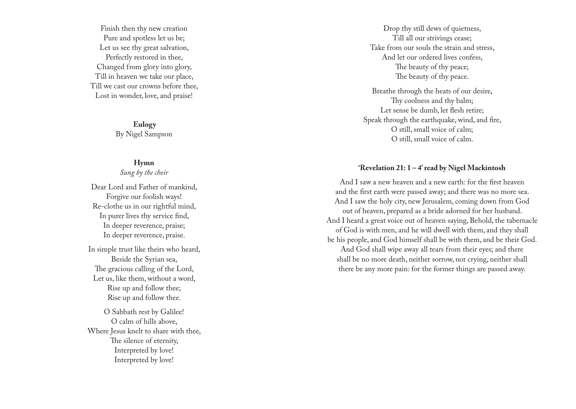Finish then thy new creation Pure and spotless let us be; Let us see thy great salvation, Perfectly restored in thee, Changed from glory into glory, Till in heaven we take our place, Till we cast our crowns before thee, Lost in wonder, love, and praise!

> **Eulogy** By Nigel Sampson

#### **Hymn**

#### *Sung by the choir*

Dear Lord and Father of mankind, Forgive our foolish ways! Re-clothe us in our rightful mind, In purer lives thy service find, In deeper reverence, praise; In deeper reverence, praise.

In simple trust like theirs who heard, Beside the Syrian sea, The gracious calling of the Lord, Let us, like them, without a word, Rise up and follow thee; Rise up and follow thee.

O Sabbath rest by Galilee! O calm of hills above, Where Jesus knelt to share with thee, The silence of eternity, Interpreted by love! Interpreted by love!

Drop thy still dews of quietness, Till all our strivings cease; Take from our souls the strain and stress, And let our ordered lives confess, The beauty of thy peace; The beauty of thy peace.

Breathe through the heats of our desire, Thy coolness and thy balm; Let sense be dumb, let flesh retire; Speak through the earthquake, wind, and fire, O still, small voice of calm; O still, small voice of calm.

#### **'Revelation 21: 1 – 4' read by Nigel Mackintosh**

And I saw a new heaven and a new earth: for the first heaven and the first earth were passed away; and there was no more sea. And I saw the holy city, new Jerusalem, coming down from God out of heaven, prepared as a bride adorned for her husband. And I heard a great voice out of heaven saying, Behold, the tabernacle of God is with men, and he will dwell with them, and they shall be his people, and God himself shall be with them, and be their God. And God shall wipe away all tears from their eyes; and there shall be no more death, neither sorrow, nor crying, neither shall there be any more pain: for the former things are passed away.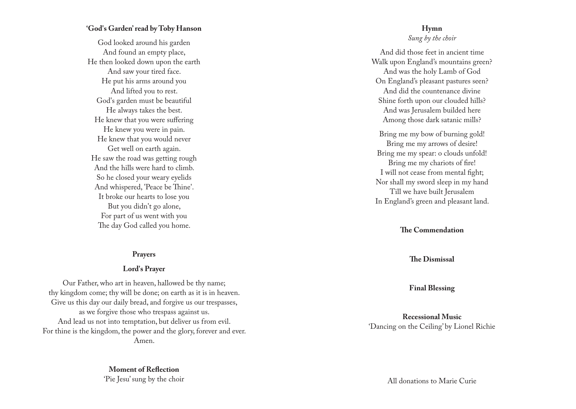#### **'God's Garden' read by Toby Hanson**

God looked around his garden And found an empty place, He then looked down upon the earth And saw your tired face. He put his arms around you And lifted you to rest. God's garden must be beautiful He always takes the best. He knew that you were suffering He knew you were in pain. He knew that you would never Get well on earth again. He saw the road was getting rough And the hills were hard to climb. So he closed your weary eyelids And whispered, 'Peace be Thine'. It broke our hearts to lose you But you didn't go alone, For part of us went with you The day God called you home.

#### **Prayers**

#### **Lord's Prayer**

Our Father, who art in heaven, hallowed be thy name; thy kingdom come; thy will be done; on earth as it is in heaven. Give us this day our daily bread, and forgive us our trespasses, as we forgive those who trespass against us. And lead us not into temptation, but deliver us from evil. For thine is the kingdom, the power and the glory, forever and ever. Amen.

> **Moment of Reflection** 'Pie Jesu' sung by the choir

#### **Hymn** *Sung by the choir*

And did those feet in ancient time Walk upon England's mountains green? And was the holy Lamb of God On England's pleasant pastures seen? And did the countenance divine Shine forth upon our clouded hills? And was Jerusalem builded here Among those dark satanic mills?

Bring me my bow of burning gold! Bring me my arrows of desire! Bring me my spear: o clouds unfold! Bring me my chariots of fire! I will not cease from mental fight; Nor shall my sword sleep in my hand Till we have built Jerusalem In England's green and pleasant land.

#### **The Commendation**

**The Dismissal**

**Final Blessing**

**Recessional Music** 'Dancing on the Ceiling' by Lionel Richie

All donations to Marie Curie